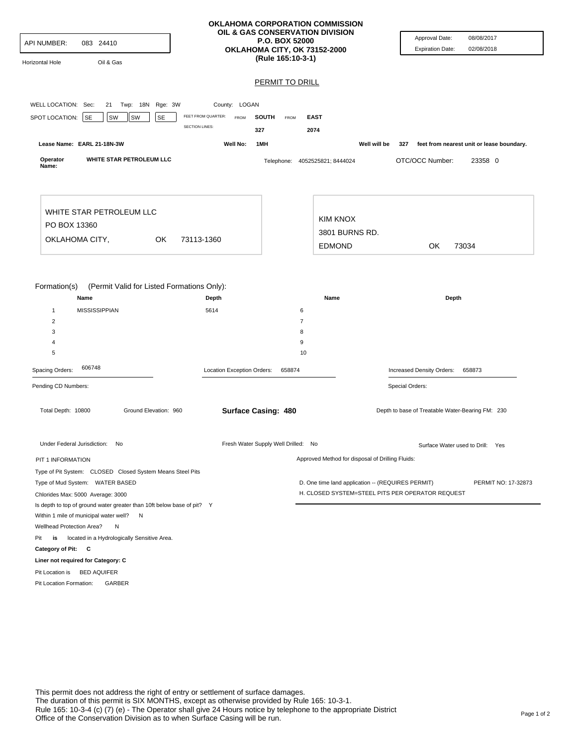| API NUMBER:<br>083 24410<br>Horizontal Hole<br>Oil & Gas                                                                                    |                            | OKLAHOMA CORPORATION COMMISSION<br>OIL & GAS CONSERVATION DIVISION<br><b>P.O. BOX 52000</b><br>OKLAHOMA CITY, OK 73152-2000<br>(Rule 165:10-3-1) | Approval Date:<br>08/08/2017<br>02/08/2018<br><b>Expiration Date:</b>    |
|---------------------------------------------------------------------------------------------------------------------------------------------|----------------------------|--------------------------------------------------------------------------------------------------------------------------------------------------|--------------------------------------------------------------------------|
|                                                                                                                                             |                            | <b>PERMIT TO DRILL</b>                                                                                                                           |                                                                          |
|                                                                                                                                             |                            |                                                                                                                                                  |                                                                          |
| WELL LOCATION: Sec:<br>21 Twp: 18N Rge: 3W                                                                                                  | County: LOGAN              |                                                                                                                                                  |                                                                          |
| <b>SE</b><br>SPOT LOCATION:<br><b>SE</b><br>SW<br>SW                                                                                        | FEET FROM QUARTER:<br>FROM | <b>SOUTH</b><br><b>EAST</b><br>FROM                                                                                                              |                                                                          |
|                                                                                                                                             | <b>SECTION LINES:</b>      | 327<br>2074                                                                                                                                      |                                                                          |
| Lease Name: EARL 21-18N-3W                                                                                                                  | Well No:                   | 1MH                                                                                                                                              | Well will be<br>327<br>feet from nearest unit or lease boundary.         |
| WHITE STAR PETROLEUM LLC<br>Operator<br>Name:                                                                                               |                            | Telephone: 4052525821; 8444024                                                                                                                   | OTC/OCC Number:<br>23358 0                                               |
| WHITE STAR PETROLEUM LLC                                                                                                                    |                            | <b>KIM KNOX</b>                                                                                                                                  |                                                                          |
| PO BOX 13360                                                                                                                                |                            | 3801 BURNS RD.                                                                                                                                   |                                                                          |
| OKLAHOMA CITY,<br>OK                                                                                                                        | 73113-1360                 | <b>EDMOND</b>                                                                                                                                    | OK<br>73034                                                              |
|                                                                                                                                             |                            |                                                                                                                                                  |                                                                          |
| Formation(s)<br>(Permit Valid for Listed Formations Only):<br>Name<br><b>MISSISSIPPIAN</b><br>$\mathbf{1}$<br>$\overline{2}$<br>3<br>4<br>5 | Depth<br>5614              | Name<br>6<br>$\overline{7}$<br>8<br>9<br>10                                                                                                      | Depth                                                                    |
| 606748<br>Spacing Orders:                                                                                                                   | Location Exception Orders: | 658874                                                                                                                                           | Increased Density Orders:<br>658873                                      |
| Pending CD Numbers:                                                                                                                         |                            |                                                                                                                                                  | Special Orders:                                                          |
| Total Depth: 10800<br>Ground Elevation: 960                                                                                                 | <b>Surface Casing: 480</b> |                                                                                                                                                  | Depth to base of Treatable Water-Bearing FM: 230                         |
| Under Federal Jurisdiction: No                                                                                                              |                            | Fresh Water Supply Well Drilled: No                                                                                                              | Surface Water used to Drill: Yes                                         |
| PIT 1 INFORMATION                                                                                                                           |                            |                                                                                                                                                  | Approved Method for disposal of Drilling Fluids:                         |
| Type of Pit System: CLOSED Closed System Means Steel Pits                                                                                   |                            |                                                                                                                                                  |                                                                          |
| Type of Mud System: WATER BASED                                                                                                             |                            |                                                                                                                                                  | D. One time land application -- (REQUIRES PERMIT)<br>PERMIT NO: 17-32873 |
| Chlorides Max: 5000 Average: 3000                                                                                                           |                            |                                                                                                                                                  | H. CLOSED SYSTEM=STEEL PITS PER OPERATOR REQUEST                         |
| Is depth to top of ground water greater than 10ft below base of pit? Y                                                                      |                            |                                                                                                                                                  |                                                                          |
| Within 1 mile of municipal water well? N                                                                                                    |                            |                                                                                                                                                  |                                                                          |
| Wellhead Protection Area?<br>N                                                                                                              |                            |                                                                                                                                                  |                                                                          |
| Pit<br>is<br>located in a Hydrologically Sensitive Area.                                                                                    |                            |                                                                                                                                                  |                                                                          |
| Category of Pit: C                                                                                                                          |                            |                                                                                                                                                  |                                                                          |
| Liner not required for Category: C                                                                                                          |                            |                                                                                                                                                  |                                                                          |
| Pit Location is BED AQUIFER                                                                                                                 |                            |                                                                                                                                                  |                                                                          |
| Pit Location Formation:<br>GARBER                                                                                                           |                            |                                                                                                                                                  |                                                                          |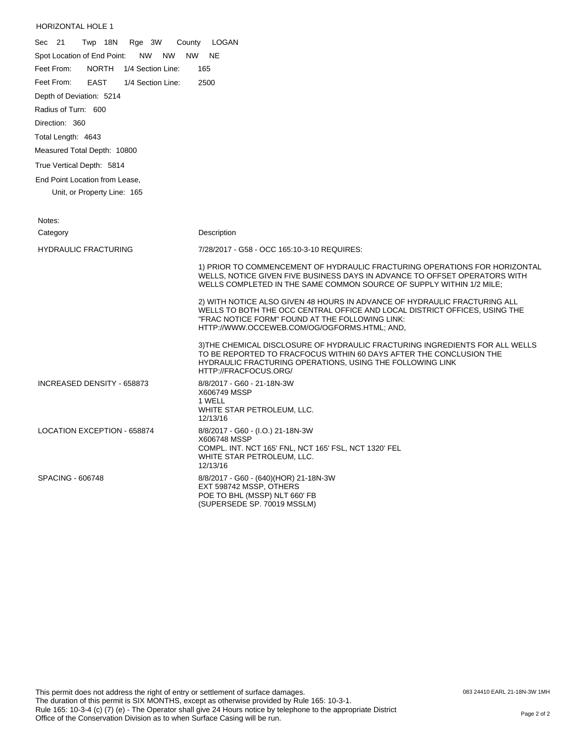## HORIZONTAL HOLE 1

| Sec 21<br>Twp 18N<br>Rge 3W<br>County                  | LOGAN                                                                                                                                                                                                                                                      |
|--------------------------------------------------------|------------------------------------------------------------------------------------------------------------------------------------------------------------------------------------------------------------------------------------------------------------|
| Spot Location of End Point:<br><b>NW</b><br>NW.<br>NW. | <b>NE</b>                                                                                                                                                                                                                                                  |
| <b>NORTH</b><br>Feet From:<br>1/4 Section Line:        | 165                                                                                                                                                                                                                                                        |
| Feet From:<br><b>EAST</b><br>1/4 Section Line:         | 2500                                                                                                                                                                                                                                                       |
| Depth of Deviation: 5214                               |                                                                                                                                                                                                                                                            |
| Radius of Turn: 600                                    |                                                                                                                                                                                                                                                            |
| Direction: 360                                         |                                                                                                                                                                                                                                                            |
| Total Length: 4643                                     |                                                                                                                                                                                                                                                            |
| Measured Total Depth: 10800                            |                                                                                                                                                                                                                                                            |
| True Vertical Depth: 5814                              |                                                                                                                                                                                                                                                            |
| End Point Location from Lease,                         |                                                                                                                                                                                                                                                            |
| Unit, or Property Line: 165                            |                                                                                                                                                                                                                                                            |
|                                                        |                                                                                                                                                                                                                                                            |
| Notes:                                                 |                                                                                                                                                                                                                                                            |
| Category                                               | Description                                                                                                                                                                                                                                                |
| <b>HYDRAULIC FRACTURING</b>                            | 7/28/2017 - G58 - OCC 165:10-3-10 REQUIRES:                                                                                                                                                                                                                |
|                                                        | 1) PRIOR TO COMMENCEMENT OF HYDRAULIC FRACTURING OPERATIONS FOR HORIZONTAL<br>WELLS, NOTICE GIVEN FIVE BUSINESS DAYS IN ADVANCE TO OFFSET OPERATORS WITH<br>WELLS COMPLETED IN THE SAME COMMON SOURCE OF SUPPLY WITHIN 1/2 MILE;                           |
|                                                        | 2) WITH NOTICE ALSO GIVEN 48 HOURS IN ADVANCE OF HYDRAULIC FRACTURING ALL<br>WELLS TO BOTH THE OCC CENTRAL OFFICE AND LOCAL DISTRICT OFFICES, USING THE<br>"FRAC NOTICE FORM" FOUND AT THE FOLLOWING LINK:<br>HTTP://WWW.OCCEWEB.COM/OG/OGFORMS.HTML; AND, |
|                                                        | 3) THE CHEMICAL DISCLOSURE OF HYDRAULIC FRACTURING INGREDIENTS FOR ALL WELLS<br>TO BE REPORTED TO FRACFOCUS WITHIN 60 DAYS AFTER THE CONCLUSION THE<br>HYDRAULIC FRACTURING OPERATIONS, USING THE FOLLOWING LINK<br>HTTP://FRACFOCUS.ORG/                  |
| INCREASED DENSITY - 658873                             | 8/8/2017 - G60 - 21-18N-3W<br>X606749 MSSP<br>1 WELL<br>WHITE STAR PETROLEUM, LLC.<br>12/13/16                                                                                                                                                             |
| <b>LOCATION EXCEPTION - 658874</b>                     | 8/8/2017 - G60 - (I.O.) 21-18N-3W<br>X606748 MSSP<br>COMPL. INT. NCT 165' FNL, NCT 165' FSL, NCT 1320' FEL<br>WHITE STAR PETROLEUM, LLC.<br>12/13/16                                                                                                       |
| <b>SPACING - 606748</b>                                | 8/8/2017 - G60 - (640)(HOR) 21-18N-3W<br>EXT 598742 MSSP, OTHERS<br>POE TO BHL (MSSP) NLT 660' FB<br>(SUPERSEDE SP. 70019 MSSLM)                                                                                                                           |